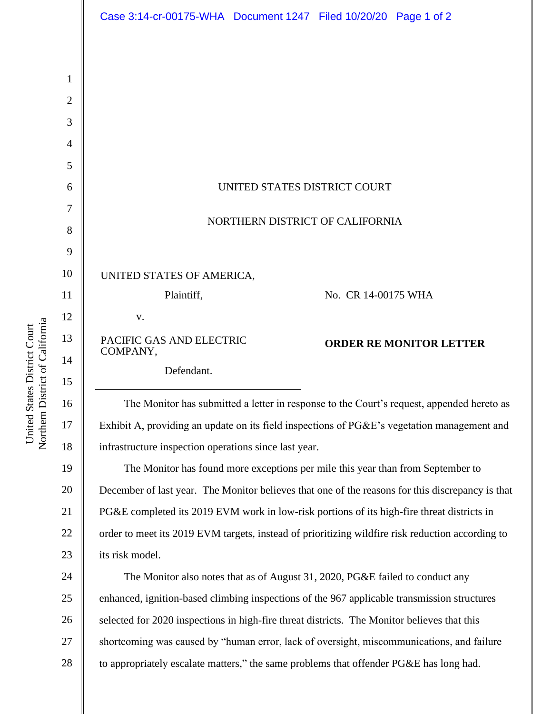|                | Case 3:14-cr-00175-WHA  Document 1247  Filed 10/20/20  Page 1 of 2                               |
|----------------|--------------------------------------------------------------------------------------------------|
|                |                                                                                                  |
|                |                                                                                                  |
| 1              |                                                                                                  |
| $\overline{2}$ |                                                                                                  |
| 3              |                                                                                                  |
| $\overline{4}$ |                                                                                                  |
| 5              |                                                                                                  |
| 6              | UNITED STATES DISTRICT COURT                                                                     |
| 7<br>8         | NORTHERN DISTRICT OF CALIFORNIA                                                                  |
| 9              |                                                                                                  |
| 10             |                                                                                                  |
| 11             | UNITED STATES OF AMERICA,<br>Plaintiff,<br>No. CR 14-00175 WHA                                   |
| 12             | V.                                                                                               |
| 13             |                                                                                                  |
| 14             | PACIFIC GAS AND ELECTRIC<br><b>ORDER RE MONITOR LETTER</b><br>COMPANY,                           |
| 15             | Defendant.                                                                                       |
| 16             | The Monitor has submitted a letter in response to the Court's request, appended hereto as        |
| 17             | Exhibit A, providing an update on its field inspections of PG&E's vegetation management and      |
| 18             | infrastructure inspection operations since last year.                                            |
| 19             | The Monitor has found more exceptions per mile this year than from September to                  |
| 20             | December of last year. The Monitor believes that one of the reasons for this discrepancy is that |
| 21             | PG&E completed its 2019 EVM work in low-risk portions of its high-fire threat districts in       |
| 22             | order to meet its 2019 EVM targets, instead of prioritizing wildfire risk reduction according to |
| 23             | its risk model.                                                                                  |
| 24             | The Monitor also notes that as of August 31, 2020, PG&E failed to conduct any                    |
| 25             | enhanced, ignition-based climbing inspections of the 967 applicable transmission structures      |
| 26             | selected for 2020 inspections in high-fire threat districts. The Monitor believes that this      |
| 27             | shortcoming was caused by "human error, lack of oversight, miscommunications, and failure        |
| 28             | to appropriately escalate matters," the same problems that offender PG&E has long had.           |